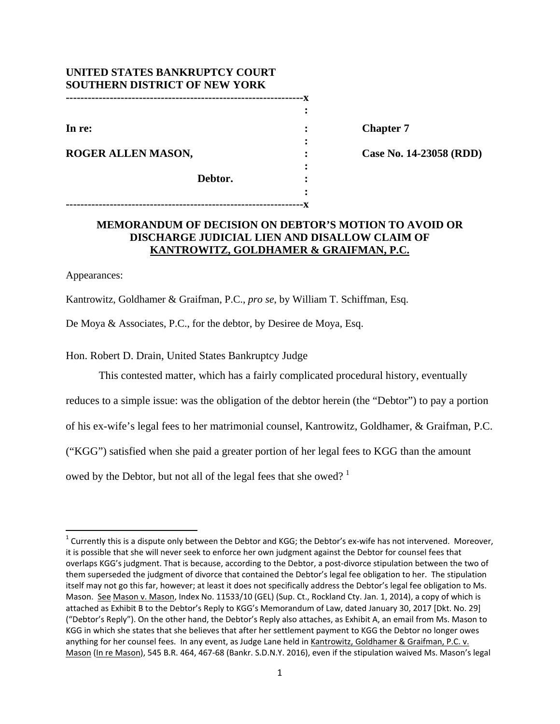| UNITED STATES BANKRUPTCY COURT       |  |
|--------------------------------------|--|
| <b>SOUTHERN DISTRICT OF NEW YORK</b> |  |
|                                      |  |
|                                      |  |
| In re:                               |  |
|                                      |  |
| ROGER ALLEN MASON,                   |  |
|                                      |  |
| Debtor.                              |  |
|                                      |  |

**-----------------------------------------------------------------x** 

**Chapter 7** 

**Case No. 14-23058 (RDD)** 

## **MEMORANDUM OF DECISION ON DEBTOR'S MOTION TO AVOID OR DISCHARGE JUDICIAL LIEN AND DISALLOW CLAIM OF KANTROWITZ, GOLDHAMER & GRAIFMAN, P.C.**

Appearances:

Kantrowitz, Goldhamer & Graifman, P.C., *pro se*, by William T. Schiffman, Esq.

De Moya & Associates, P.C., for the debtor, by Desiree de Moya, Esq.

Hon. Robert D. Drain, United States Bankruptcy Judge

This contested matter, which has a fairly complicated procedural history, eventually

reduces to a simple issue: was the obligation of the debtor herein (the "Debtor") to pay a portion

of his ex-wife's legal fees to her matrimonial counsel, Kantrowitz, Goldhamer, & Graifman, P.C.

("KGG") satisfied when she paid a greater portion of her legal fees to KGG than the amount

owed by the Debtor, but not all of the legal fees that she owed?  $1$ 

 $1$  Currently this is a dispute only between the Debtor and KGG; the Debtor's ex-wife has not intervened. Moreover, it is possible that she will never seek to enforce her own judgment against the Debtor for counsel fees that overlaps KGG's judgment. That is because, according to the Debtor, a post-divorce stipulation between the two of them superseded the judgment of divorce that contained the Debtor's legal fee obligation to her. The stipulation itself may not go this far, however; at least it does not specifically address the Debtor's legal fee obligation to Ms. Mason. See Mason v. Mason, Index No. 11533/10 (GEL) (Sup. Ct., Rockland Cty. Jan. 1, 2014), a copy of which is attached as Exhibit B to the Debtor's Reply to KGG's Memorandum of Law, dated January 30, 2017 [Dkt. No. 29] ("Debtor's Reply"). On the other hand, the Debtor's Reply also attaches, as Exhibit A, an email from Ms. Mason to KGG in which she states that she believes that after her settlement payment to KGG the Debtor no longer owes anything for her counsel fees. In any event, as Judge Lane held in Kantrowitz, Goldhamer & Graifman, P.C. v. Mason (In re Mason), 545 B.R. 464, 467‐68 (Bankr. S.D.N.Y. 2016), even if the stipulation waived Ms. Mason's legal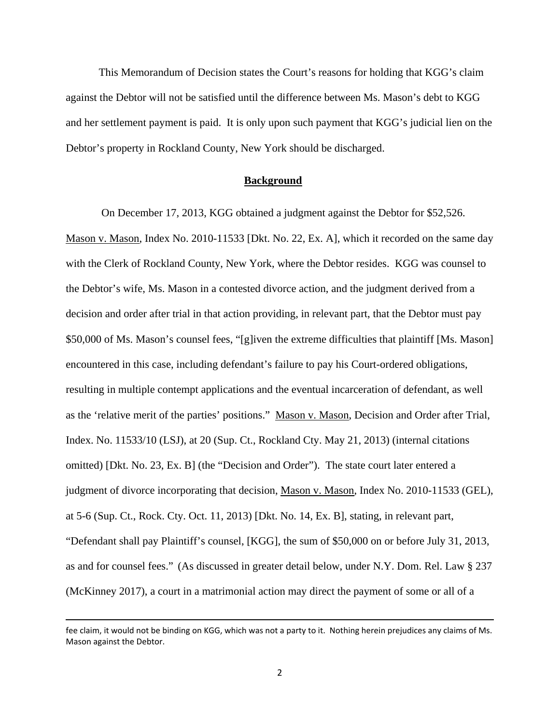This Memorandum of Decision states the Court's reasons for holding that KGG's claim against the Debtor will not be satisfied until the difference between Ms. Mason's debt to KGG and her settlement payment is paid. It is only upon such payment that KGG's judicial lien on the Debtor's property in Rockland County, New York should be discharged.

#### **Background**

 On December 17, 2013, KGG obtained a judgment against the Debtor for \$52,526. Mason v. Mason, Index No. 2010-11533 [Dkt. No. 22, Ex. A], which it recorded on the same day with the Clerk of Rockland County, New York, where the Debtor resides. KGG was counsel to the Debtor's wife, Ms. Mason in a contested divorce action, and the judgment derived from a decision and order after trial in that action providing, in relevant part, that the Debtor must pay \$50,000 of Ms. Mason's counsel fees, "[g]iven the extreme difficulties that plaintiff [Ms. Mason] encountered in this case, including defendant's failure to pay his Court-ordered obligations, resulting in multiple contempt applications and the eventual incarceration of defendant, as well as the 'relative merit of the parties' positions." Mason v. Mason, Decision and Order after Trial, Index. No. 11533/10 (LSJ), at 20 (Sup. Ct., Rockland Cty. May 21, 2013) (internal citations omitted) [Dkt. No. 23, Ex. B] (the "Decision and Order"). The state court later entered a judgment of divorce incorporating that decision, Mason v. Mason, Index No. 2010-11533 (GEL), at 5-6 (Sup. Ct., Rock. Cty. Oct. 11, 2013) [Dkt. No. 14, Ex. B], stating, in relevant part, "Defendant shall pay Plaintiff's counsel, [KGG], the sum of \$50,000 on or before July 31, 2013, as and for counsel fees." (As discussed in greater detail below, under N.Y. Dom. Rel. Law § 237 (McKinney 2017), a court in a matrimonial action may direct the payment of some or all of a

<sup>&</sup>lt;u> 1989 - Johann Stein, marwolaethau a gweledydd a ganlad y ganlad y ganlad y ganlad y ganlad y ganlad y ganlad</u> fee claim, it would not be binding on KGG, which was not a party to it. Nothing herein prejudices any claims of Ms. Mason against the Debtor.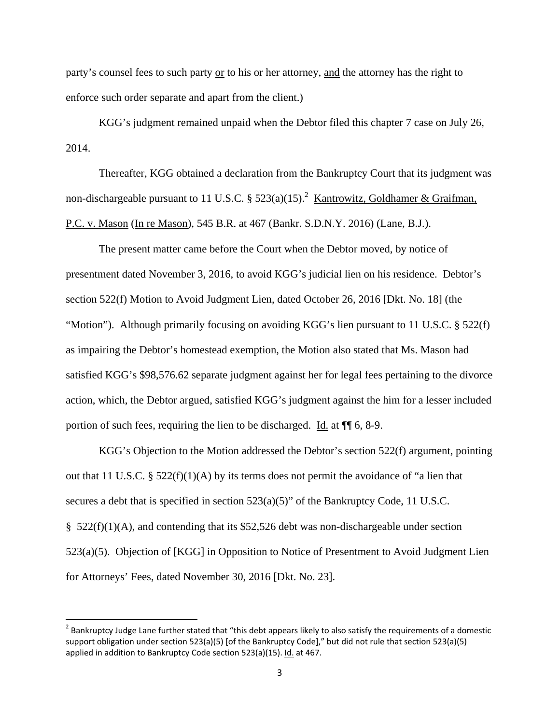party's counsel fees to such party or to his or her attorney, and the attorney has the right to enforce such order separate and apart from the client.)

KGG's judgment remained unpaid when the Debtor filed this chapter 7 case on July 26, 2014.

Thereafter, KGG obtained a declaration from the Bankruptcy Court that its judgment was non-dischargeable pursuant to 11 U.S.C. §  $523(a)(15)$ .<sup>2</sup> Kantrowitz, Goldhamer & Graifman, P.C. v. Mason (In re Mason), 545 B.R. at 467 (Bankr. S.D.N.Y. 2016) (Lane, B.J.).

The present matter came before the Court when the Debtor moved, by notice of presentment dated November 3, 2016, to avoid KGG's judicial lien on his residence. Debtor's section 522(f) Motion to Avoid Judgment Lien, dated October 26, 2016 [Dkt. No. 18] (the "Motion"). Although primarily focusing on avoiding KGG's lien pursuant to 11 U.S.C.  $\S 522(f)$ as impairing the Debtor's homestead exemption, the Motion also stated that Ms. Mason had satisfied KGG's \$98,576.62 separate judgment against her for legal fees pertaining to the divorce action, which, the Debtor argued, satisfied KGG's judgment against the him for a lesser included portion of such fees, requiring the lien to be discharged. Id. at ¶¶ 6, 8-9.

KGG's Objection to the Motion addressed the Debtor's section 522(f) argument, pointing out that 11 U.S.C. §  $522(f)(1)(A)$  by its terms does not permit the avoidance of "a lien that secures a debt that is specified in section 523(a)(5)" of the Bankruptcy Code, 11 U.S.C.  $\S$  522(f)(1)(A), and contending that its \$52,526 debt was non-dischargeable under section 523(a)(5). Objection of [KGG] in Opposition to Notice of Presentment to Avoid Judgment Lien for Attorneys' Fees, dated November 30, 2016 [Dkt. No. 23].

 $2$  Bankruptcy Judge Lane further stated that "this debt appears likely to also satisfy the requirements of a domestic support obligation under section 523(a)(5) [of the Bankruptcy Code]," but did not rule that section 523(a)(5) applied in addition to Bankruptcy Code section 523(a)(15). Id. at 467.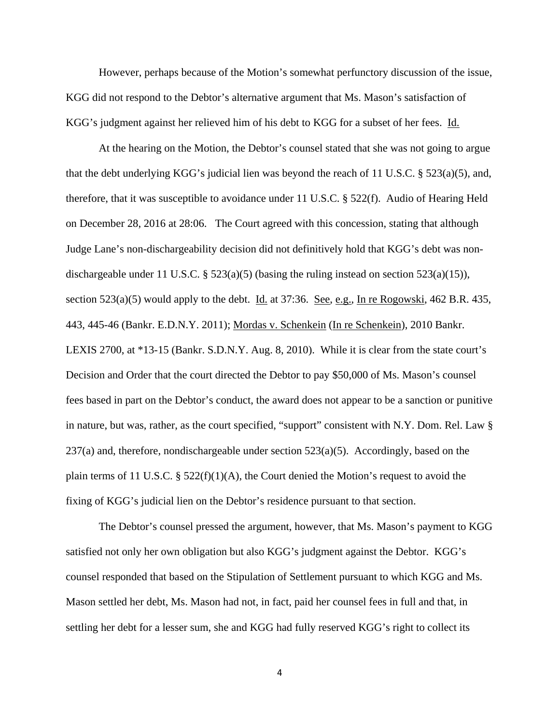However, perhaps because of the Motion's somewhat perfunctory discussion of the issue, KGG did not respond to the Debtor's alternative argument that Ms. Mason's satisfaction of KGG's judgment against her relieved him of his debt to KGG for a subset of her fees. Id.

At the hearing on the Motion, the Debtor's counsel stated that she was not going to argue that the debt underlying KGG's judicial lien was beyond the reach of 11 U.S.C. § 523(a)(5), and, therefore, that it was susceptible to avoidance under 11 U.S.C. § 522(f). Audio of Hearing Held on December 28, 2016 at 28:06. The Court agreed with this concession, stating that although Judge Lane's non-dischargeability decision did not definitively hold that KGG's debt was nondischargeable under 11 U.S.C. § 523(a)(5) (basing the ruling instead on section 523(a)(15)), section 523(a)(5) would apply to the debt. <u>Id.</u> at 37:36. <u>See, e.g., In re Rogowski</u>, 462 B.R. 435, 443, 445-46 (Bankr. E.D.N.Y. 2011); Mordas v. Schenkein (In re Schenkein), 2010 Bankr. LEXIS 2700, at \*13-15 (Bankr. S.D.N.Y. Aug. 8, 2010). While it is clear from the state court's Decision and Order that the court directed the Debtor to pay \$50,000 of Ms. Mason's counsel fees based in part on the Debtor's conduct, the award does not appear to be a sanction or punitive in nature, but was, rather, as the court specified, "support" consistent with N.Y. Dom. Rel. Law §  $237(a)$  and, therefore, nondischargeable under section  $523(a)(5)$ . Accordingly, based on the plain terms of 11 U.S.C.  $\S$  522(f)(1)(A), the Court denied the Motion's request to avoid the fixing of KGG's judicial lien on the Debtor's residence pursuant to that section.

The Debtor's counsel pressed the argument, however, that Ms. Mason's payment to KGG satisfied not only her own obligation but also KGG's judgment against the Debtor. KGG's counsel responded that based on the Stipulation of Settlement pursuant to which KGG and Ms. Mason settled her debt, Ms. Mason had not, in fact, paid her counsel fees in full and that, in settling her debt for a lesser sum, she and KGG had fully reserved KGG's right to collect its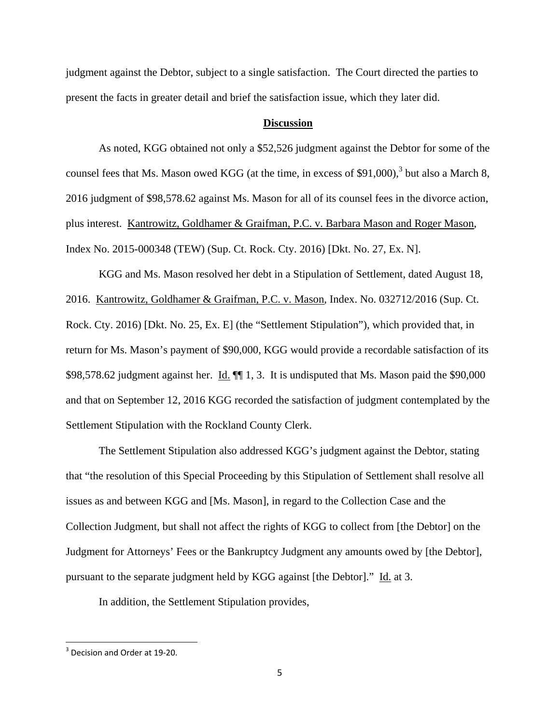judgment against the Debtor, subject to a single satisfaction. The Court directed the parties to present the facts in greater detail and brief the satisfaction issue, which they later did.

### **Discussion**

As noted, KGG obtained not only a \$52,526 judgment against the Debtor for some of the counsel fees that Ms. Mason owed KGG (at the time, in excess of \$91,000),<sup>3</sup> but also a March 8, 2016 judgment of \$98,578.62 against Ms. Mason for all of its counsel fees in the divorce action, plus interest. Kantrowitz, Goldhamer & Graifman, P.C. v. Barbara Mason and Roger Mason, Index No. 2015-000348 (TEW) (Sup. Ct. Rock. Cty. 2016) [Dkt. No. 27, Ex. N].

KGG and Ms. Mason resolved her debt in a Stipulation of Settlement, dated August 18, 2016. Kantrowitz, Goldhamer & Graifman, P.C. v. Mason, Index. No. 032712/2016 (Sup. Ct. Rock. Cty. 2016) [Dkt. No. 25, Ex. E] (the "Settlement Stipulation"), which provided that, in return for Ms. Mason's payment of \$90,000, KGG would provide a recordable satisfaction of its \$98,578.62 judgment against her. Id.  $\P$  1, 3. It is undisputed that Ms. Mason paid the \$90,000 and that on September 12, 2016 KGG recorded the satisfaction of judgment contemplated by the Settlement Stipulation with the Rockland County Clerk.

The Settlement Stipulation also addressed KGG's judgment against the Debtor, stating that "the resolution of this Special Proceeding by this Stipulation of Settlement shall resolve all issues as and between KGG and [Ms. Mason], in regard to the Collection Case and the Collection Judgment, but shall not affect the rights of KGG to collect from [the Debtor] on the Judgment for Attorneys' Fees or the Bankruptcy Judgment any amounts owed by [the Debtor], pursuant to the separate judgment held by KGG against [the Debtor]." Id. at 3.

In addition, the Settlement Stipulation provides,

<sup>&</sup>lt;sup>3</sup> Decision and Order at 19-20.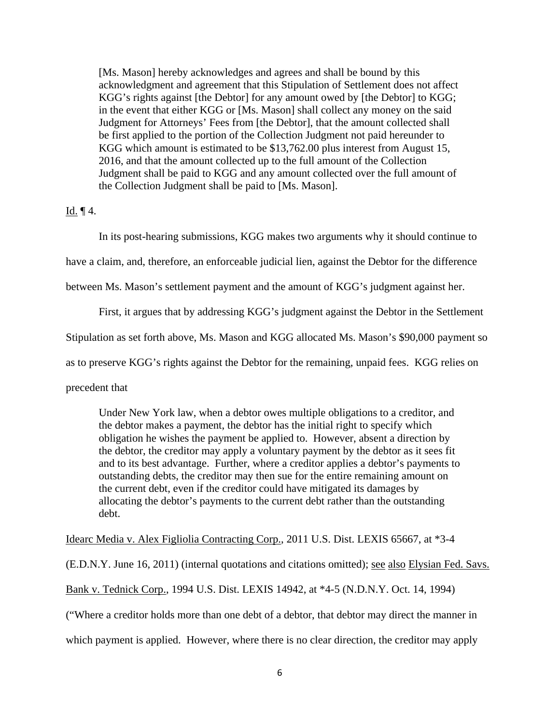[Ms. Mason] hereby acknowledges and agrees and shall be bound by this acknowledgment and agreement that this Stipulation of Settlement does not affect KGG's rights against [the Debtor] for any amount owed by [the Debtor] to KGG; in the event that either KGG or [Ms. Mason] shall collect any money on the said Judgment for Attorneys' Fees from [the Debtor], that the amount collected shall be first applied to the portion of the Collection Judgment not paid hereunder to KGG which amount is estimated to be \$13,762.00 plus interest from August 15, 2016, and that the amount collected up to the full amount of the Collection Judgment shall be paid to KGG and any amount collected over the full amount of the Collection Judgment shall be paid to [Ms. Mason].

# Id. ¶ 4.

In its post-hearing submissions, KGG makes two arguments why it should continue to

have a claim, and, therefore, an enforceable judicial lien, against the Debtor for the difference

between Ms. Mason's settlement payment and the amount of KGG's judgment against her.

First, it argues that by addressing KGG's judgment against the Debtor in the Settlement

Stipulation as set forth above, Ms. Mason and KGG allocated Ms. Mason's \$90,000 payment so

as to preserve KGG's rights against the Debtor for the remaining, unpaid fees. KGG relies on

precedent that

Under New York law, when a debtor owes multiple obligations to a creditor, and the debtor makes a payment, the debtor has the initial right to specify which obligation he wishes the payment be applied to. However, absent a direction by the debtor, the creditor may apply a voluntary payment by the debtor as it sees fit and to its best advantage. Further, where a creditor applies a debtor's payments to outstanding debts, the creditor may then sue for the entire remaining amount on the current debt, even if the creditor could have mitigated its damages by allocating the debtor's payments to the current debt rather than the outstanding debt.

Idearc Media v. Alex Figliolia Contracting Corp., 2011 U.S. Dist. LEXIS 65667, at \*3-4

(E.D.N.Y. June 16, 2011) (internal quotations and citations omitted); see also Elysian Fed. Savs.

Bank v. Tednick Corp., 1994 U.S. Dist. LEXIS 14942, at \*4-5 (N.D.N.Y. Oct. 14, 1994)

("Where a creditor holds more than one debt of a debtor, that debtor may direct the manner in

which payment is applied. However, where there is no clear direction, the creditor may apply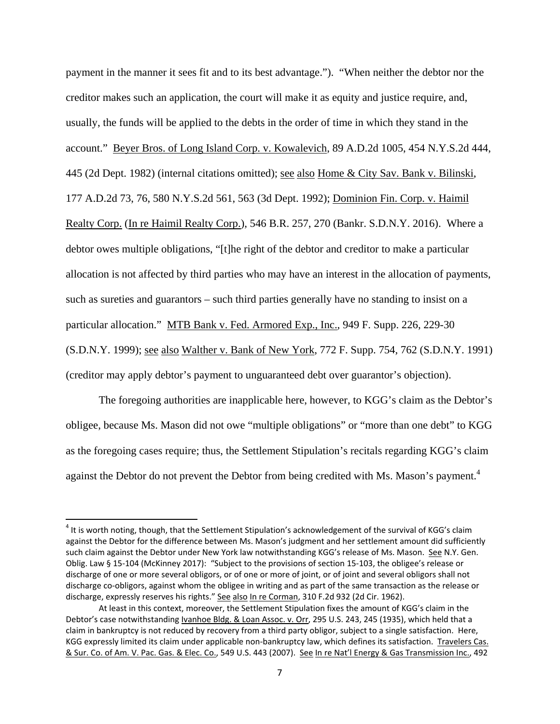payment in the manner it sees fit and to its best advantage."). "When neither the debtor nor the creditor makes such an application, the court will make it as equity and justice require, and, usually, the funds will be applied to the debts in the order of time in which they stand in the account." Beyer Bros. of Long Island Corp. v. Kowalevich, 89 A.D.2d 1005, 454 N.Y.S.2d 444, 445 (2d Dept. 1982) (internal citations omitted); see also Home & City Sav. Bank v. Bilinski, 177 A.D.2d 73, 76, 580 N.Y.S.2d 561, 563 (3d Dept. 1992); Dominion Fin. Corp. v. Haimil Realty Corp. (In re Haimil Realty Corp.), 546 B.R. 257, 270 (Bankr. S.D.N.Y. 2016). Where a debtor owes multiple obligations, "[t]he right of the debtor and creditor to make a particular allocation is not affected by third parties who may have an interest in the allocation of payments, such as sureties and guarantors – such third parties generally have no standing to insist on a particular allocation." MTB Bank v. Fed. Armored Exp., Inc., 949 F. Supp. 226, 229-30 (S.D.N.Y. 1999); see also Walther v. Bank of New York, 772 F. Supp. 754, 762 (S.D.N.Y. 1991) (creditor may apply debtor's payment to unguaranteed debt over guarantor's objection).

 The foregoing authorities are inapplicable here, however, to KGG's claim as the Debtor's obligee, because Ms. Mason did not owe "multiple obligations" or "more than one debt" to KGG as the foregoing cases require; thus, the Settlement Stipulation's recitals regarding KGG's claim against the Debtor do not prevent the Debtor from being credited with Ms. Mason's payment.<sup>4</sup>

 $4$  It is worth noting, though, that the Settlement Stipulation's acknowledgement of the survival of KGG's claim against the Debtor for the difference between Ms. Mason's judgment and her settlement amount did sufficiently such claim against the Debtor under New York law notwithstanding KGG's release of Ms. Mason. See N.Y. Gen. Oblig. Law § 15‐104 (McKinney 2017): "Subject to the provisions of section 15‐103, the obligee's release or discharge of one or more several obligors, or of one or more of joint, or of joint and several obligors shall not discharge co‐obligors, against whom the obligee in writing and as part of the same transaction as the release or discharge, expressly reserves his rights." See also In re Corman, 310 F.2d 932 (2d Cir. 1962).

At least in this context, moreover, the Settlement Stipulation fixes the amount of KGG's claim in the Debtor's case notwithstanding Ivanhoe Bldg. & Loan Assoc. v. Orr, 295 U.S. 243, 245 (1935), which held that a claim in bankruptcy is not reduced by recovery from a third party obligor, subject to a single satisfaction. Here, KGG expressly limited its claim under applicable non-bankruptcy law, which defines its satisfaction. Travelers Cas. & Sur. Co. of Am. V. Pac. Gas. & Elec. Co., 549 U.S. 443 (2007). See In re Nat'l Energy & Gas Transmission Inc., 492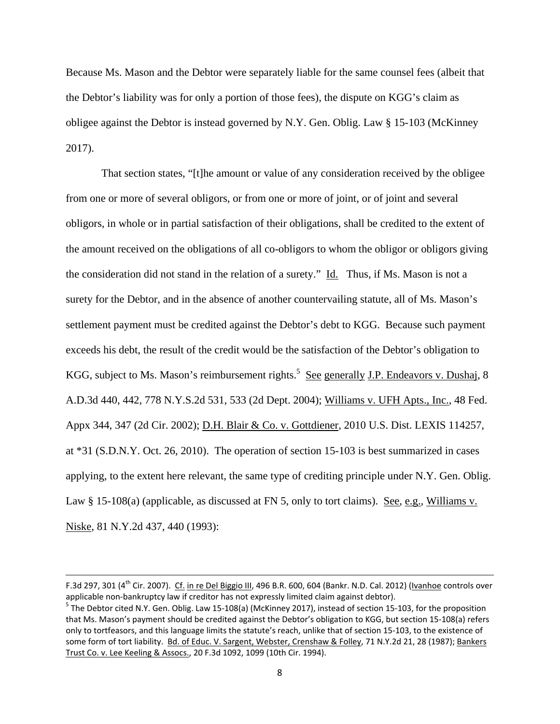Because Ms. Mason and the Debtor were separately liable for the same counsel fees (albeit that the Debtor's liability was for only a portion of those fees), the dispute on KGG's claim as obligee against the Debtor is instead governed by N.Y. Gen. Oblig. Law § 15-103 (McKinney 2017).

 That section states, "[t]he amount or value of any consideration received by the obligee from one or more of several obligors, or from one or more of joint, or of joint and several obligors, in whole or in partial satisfaction of their obligations, shall be credited to the extent of the amount received on the obligations of all co-obligors to whom the obligor or obligors giving the consideration did not stand in the relation of a surety." Id. Thus, if Ms. Mason is not a surety for the Debtor, and in the absence of another countervailing statute, all of Ms. Mason's settlement payment must be credited against the Debtor's debt to KGG. Because such payment exceeds his debt, the result of the credit would be the satisfaction of the Debtor's obligation to KGG, subject to Ms. Mason's reimbursement rights.<sup>5</sup> See generally J.P. Endeavors v. Dushaj, 8 A.D.3d 440, 442, 778 N.Y.S.2d 531, 533 (2d Dept. 2004); Williams v. UFH Apts., Inc., 48 Fed. Appx 344, 347 (2d Cir. 2002); D.H. Blair & Co. v. Gottdiener, 2010 U.S. Dist. LEXIS 114257, at \*31 (S.D.N.Y. Oct. 26, 2010). The operation of section 15-103 is best summarized in cases applying, to the extent here relevant, the same type of crediting principle under N.Y. Gen. Oblig. Law § 15-108(a) (applicable, as discussed at FN 5, only to tort claims). See, e.g., Williams v. Niske, 81 N.Y.2d 437, 440 (1993):

<u> 1989 - Johann Stein, marwolaethau a gweledydd a ganlad y ganlad y ganlad y ganlad y ganlad y ganlad y ganlad</u>

F.3d 297, 301 (4<sup>th</sup> Cir. 2007). Cf. in re Del Biggio III, 496 B.R. 600, 604 (Bankr. N.D. Cal. 2012) (Ivanhoe controls over applicable non-bankruptcy law if creditor has not expressly limited claim against debtor).<br><sup>5</sup> The Debtor cited N.Y. Gen. Oblig. Law 15‐108(a) (McKinney 2017), instead of section 15‐103, for the proposition

that Ms. Mason's payment should be credited against the Debtor's obligation to KGG, but section 15‐108(a) refers only to tortfeasors, and this language limits the statute's reach, unlike that of section 15‐103, to the existence of some form of tort liability. Bd. of Educ. V. Sargent, Webster, Crenshaw & Folley, 71 N.Y.2d 21, 28 (1987); Bankers Trust Co. v. Lee Keeling & Assocs., 20 F.3d 1092, 1099 (10th Cir. 1994).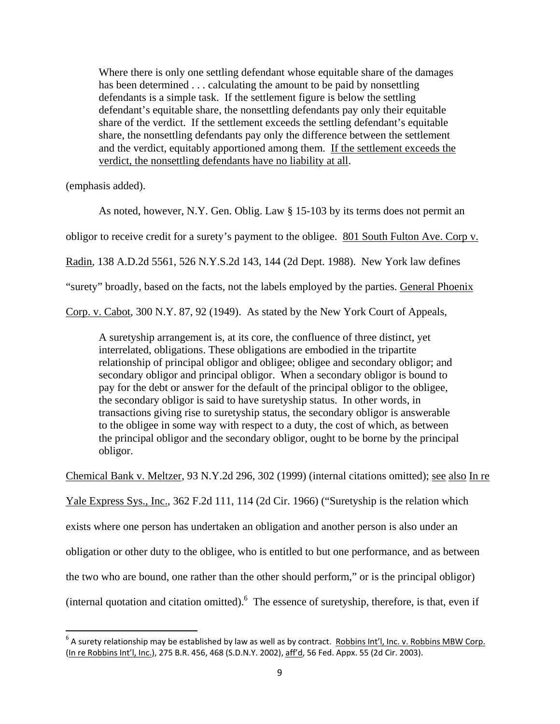Where there is only one settling defendant whose equitable share of the damages has been determined . . . calculating the amount to be paid by nonsettling defendants is a simple task. If the settlement figure is below the settling defendant's equitable share, the nonsettling defendants pay only their equitable share of the verdict. If the settlement exceeds the settling defendant's equitable share, the nonsettling defendants pay only the difference between the settlement and the verdict, equitably apportioned among them. If the settlement exceeds the verdict, the nonsettling defendants have no liability at all.

(emphasis added).

As noted, however, N.Y. Gen. Oblig. Law § 15-103 by its terms does not permit an

obligor to receive credit for a surety's payment to the obligee. 801 South Fulton Ave. Corp v.

Radin, 138 A.D.2d 5561, 526 N.Y.S.2d 143, 144 (2d Dept. 1988). New York law defines

"surety" broadly, based on the facts, not the labels employed by the parties. General Phoenix

Corp. v. Cabot, 300 N.Y. 87, 92 (1949). As stated by the New York Court of Appeals,

A suretyship arrangement is, at its core, the confluence of three distinct, yet interrelated, obligations. These obligations are embodied in the tripartite relationship of principal obligor and obligee; obligee and secondary obligor; and secondary obligor and principal obligor. When a secondary obligor is bound to pay for the debt or answer for the default of the principal obligor to the obligee, the secondary obligor is said to have suretyship status. In other words, in transactions giving rise to suretyship status, the secondary obligor is answerable to the obligee in some way with respect to a duty, the cost of which, as between the principal obligor and the secondary obligor, ought to be borne by the principal obligor.

Chemical Bank v. Meltzer, 93 N.Y.2d 296, 302 (1999) (internal citations omitted); see also In re

Yale Express Sys., Inc., 362 F.2d 111, 114 (2d Cir. 1966) ("Suretyship is the relation which

exists where one person has undertaken an obligation and another person is also under an

obligation or other duty to the obligee, who is entitled to but one performance, and as between

the two who are bound, one rather than the other should perform," or is the principal obligor)

(internal quotation and citation omitted). <sup>6</sup> The essence of suretyship, therefore, is that, even if

 $^6$  A surety relationship may be established by law as well as by contract. Robbins Int'l, Inc. v. Robbins MBW Corp. (In re Robbins Int'l, Inc.), 275 B.R. 456, 468 (S.D.N.Y. 2002), aff'd, 56 Fed. Appx. 55 (2d Cir. 2003).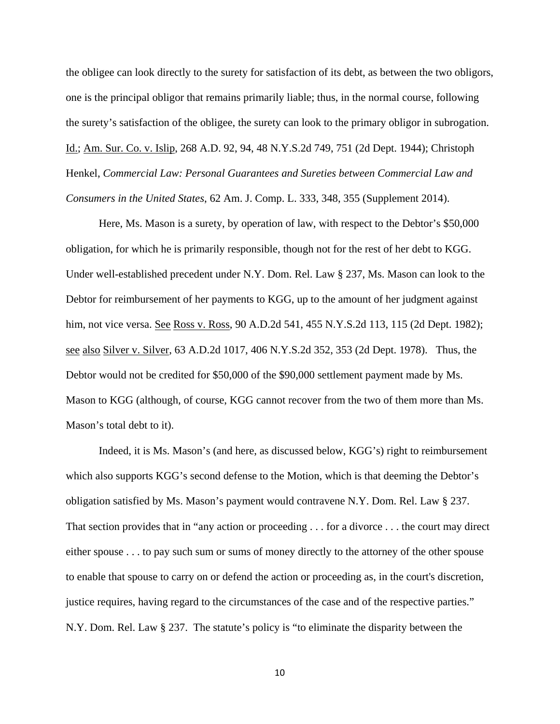the obligee can look directly to the surety for satisfaction of its debt, as between the two obligors, one is the principal obligor that remains primarily liable; thus, in the normal course, following the surety's satisfaction of the obligee, the surety can look to the primary obligor in subrogation. Id.; Am. Sur. Co. v. Islip, 268 A.D. 92, 94, 48 N.Y.S.2d 749, 751 (2d Dept. 1944); Christoph Henkel, *Commercial Law: Personal Guarantees and Sureties between Commercial Law and Consumers in the United States*, 62 Am. J. Comp. L. 333, 348, 355 (Supplement 2014).

Here, Ms. Mason is a surety, by operation of law, with respect to the Debtor's \$50,000 obligation, for which he is primarily responsible, though not for the rest of her debt to KGG. Under well-established precedent under N.Y. Dom. Rel. Law § 237, Ms. Mason can look to the Debtor for reimbursement of her payments to KGG, up to the amount of her judgment against him, not vice versa. <u>See Ross v. Ross</u>, 90 A.D.2d 541, 455 N.Y.S.2d 113, 115 (2d Dept. 1982); see also Silver v. Silver, 63 A.D.2d 1017, 406 N.Y.S.2d 352, 353 (2d Dept. 1978). Thus, the Debtor would not be credited for \$50,000 of the \$90,000 settlement payment made by Ms. Mason to KGG (although, of course, KGG cannot recover from the two of them more than Ms. Mason's total debt to it).

Indeed, it is Ms. Mason's (and here, as discussed below, KGG's) right to reimbursement which also supports KGG's second defense to the Motion, which is that deeming the Debtor's obligation satisfied by Ms. Mason's payment would contravene N.Y. Dom. Rel. Law § 237. That section provides that in "any action or proceeding . . . for a divorce . . . the court may direct either spouse . . . to pay such sum or sums of money directly to the attorney of the other spouse to enable that spouse to carry on or defend the action or proceeding as, in the court's discretion, justice requires, having regard to the circumstances of the case and of the respective parties." N.Y. Dom. Rel. Law § 237. The statute's policy is "to eliminate the disparity between the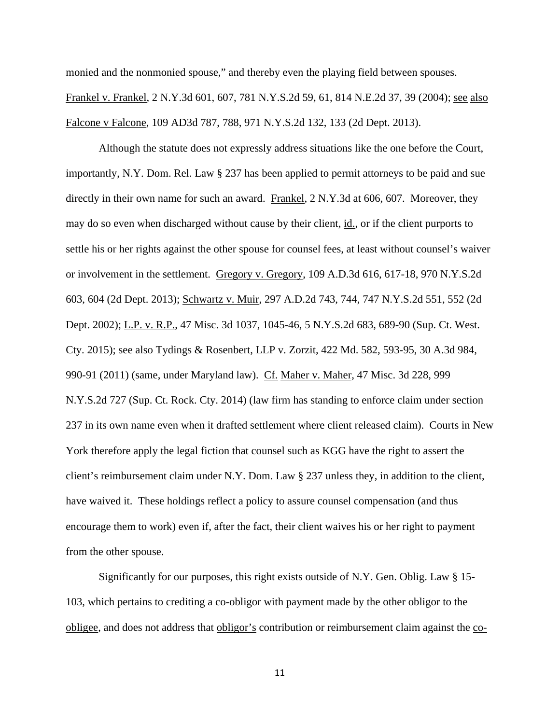monied and the nonmonied spouse," and thereby even the playing field between spouses. Frankel v. Frankel, 2 N.Y.3d 601, 607, 781 N.Y.S.2d 59, 61, 814 N.E.2d 37, 39 (2004); see also Falcone v Falcone, 109 AD3d 787, 788, 971 N.Y.S.2d 132, 133 (2d Dept. 2013).

Although the statute does not expressly address situations like the one before the Court, importantly, N.Y. Dom. Rel. Law § 237 has been applied to permit attorneys to be paid and sue directly in their own name for such an award. Frankel, 2 N.Y.3d at 606, 607. Moreover, they may do so even when discharged without cause by their client, id., or if the client purports to settle his or her rights against the other spouse for counsel fees, at least without counsel's waiver or involvement in the settlement. Gregory v. Gregory, 109 A.D.3d 616, 617-18, 970 N.Y.S.2d 603, 604 (2d Dept. 2013); Schwartz v. Muir, 297 A.D.2d 743, 744, 747 N.Y.S.2d 551, 552 (2d Dept. 2002); L.P. v. R.P., 47 Misc. 3d 1037, 1045-46, 5 N.Y.S.2d 683, 689-90 (Sup. Ct. West. Cty. 2015); see also Tydings & Rosenbert, LLP v. Zorzit, 422 Md. 582, 593-95, 30 A.3d 984, 990-91 (2011) (same, under Maryland law). Cf. Maher v. Maher, 47 Misc. 3d 228, 999 N.Y.S.2d 727 (Sup. Ct. Rock. Cty. 2014) (law firm has standing to enforce claim under section 237 in its own name even when it drafted settlement where client released claim). Courts in New York therefore apply the legal fiction that counsel such as KGG have the right to assert the client's reimbursement claim under N.Y. Dom. Law § 237 unless they, in addition to the client, have waived it. These holdings reflect a policy to assure counsel compensation (and thus encourage them to work) even if, after the fact, their client waives his or her right to payment from the other spouse.

Significantly for our purposes, this right exists outside of N.Y. Gen. Oblig. Law § 15- 103, which pertains to crediting a co-obligor with payment made by the other obligor to the obligee, and does not address that obligor's contribution or reimbursement claim against the co-